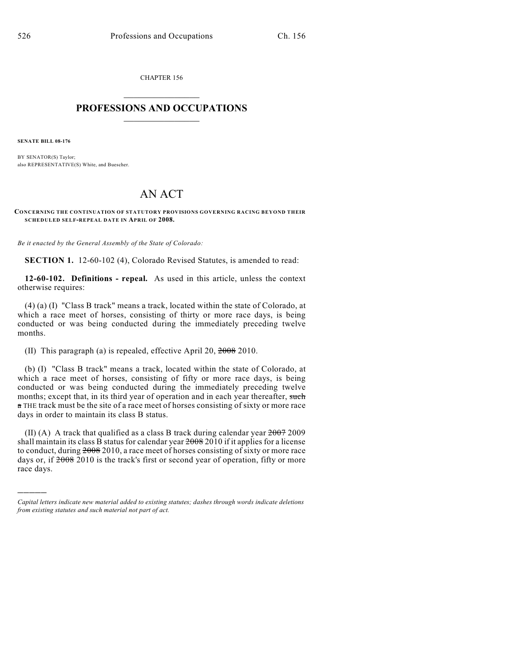CHAPTER 156

## $\mathcal{L}_\text{max}$  . The set of the set of the set of the set of the set of the set of the set of the set of the set of the set of the set of the set of the set of the set of the set of the set of the set of the set of the set **PROFESSIONS AND OCCUPATIONS**  $\frac{1}{2}$  ,  $\frac{1}{2}$  ,  $\frac{1}{2}$  ,  $\frac{1}{2}$  ,  $\frac{1}{2}$  ,  $\frac{1}{2}$

**SENATE BILL 08-176**

)))))

BY SENATOR(S) Taylor; also REPRESENTATIVE(S) White, and Buescher.

## AN ACT

## **CONCERNING THE CONTINUATION OF STATUTORY PROVISIONS GOVERNING RACING BEYOND THEIR SCHEDULED SELF-REPEAL DATE IN APRIL OF 2008.**

*Be it enacted by the General Assembly of the State of Colorado:*

**SECTION 1.** 12-60-102 (4), Colorado Revised Statutes, is amended to read:

**12-60-102. Definitions - repeal.** As used in this article, unless the context otherwise requires:

(4) (a) (I) "Class B track" means a track, located within the state of Colorado, at which a race meet of horses, consisting of thirty or more race days, is being conducted or was being conducted during the immediately preceding twelve months.

(II) This paragraph (a) is repealed, effective April 20, 2008 2010.

(b) (I) "Class B track" means a track, located within the state of Colorado, at which a race meet of horses, consisting of fifty or more race days, is being conducted or was being conducted during the immediately preceding twelve months; except that, in its third year of operation and in each year thereafter, such a THE track must be the site of a race meet of horses consisting of sixty or more race days in order to maintain its class B status.

(II) (A) A track that qualified as a class B track during calendar year  $2007$  2009 shall maintain its class B status for calendar year  $2008$  2010 if it applies for a license to conduct, during 2008 2010, a race meet of horses consisting of sixty or more race days or, if  $2008$  2010 is the track's first or second year of operation, fifty or more race days.

*Capital letters indicate new material added to existing statutes; dashes through words indicate deletions from existing statutes and such material not part of act.*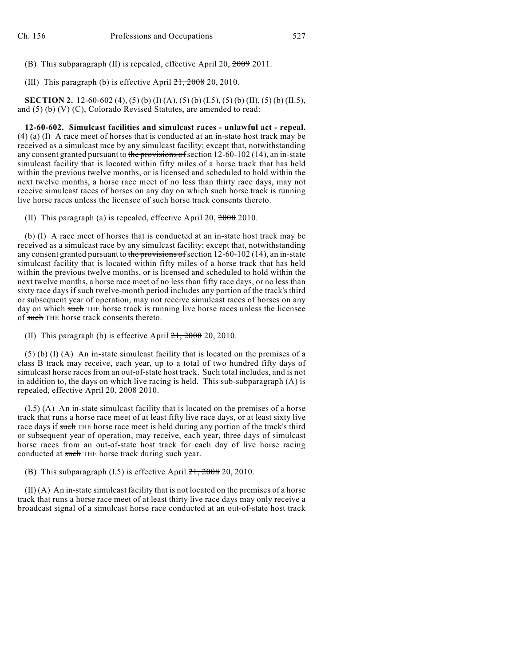(B) This subparagraph (II) is repealed, effective April 20, 2009 2011.

(III) This paragraph (b) is effective April  $21, 2008$  20, 2010.

**SECTION 2.** 12-60-602 (4), (5) (b) (I) (A), (5) (b) (I.5), (5) (b) (II), (5) (b) (II.5), and (5) (b) (V) (C), Colorado Revised Statutes, are amended to read:

**12-60-602. Simulcast facilities and simulcast races - unlawful act - repeal.** (4) (a) (I) A race meet of horses that is conducted at an in-state host track may be received as a simulcast race by any simulcast facility; except that, notwithstanding any consent granted pursuant to the provisions of section 12-60-102 (14), an in-state simulcast facility that is located within fifty miles of a horse track that has held within the previous twelve months, or is licensed and scheduled to hold within the next twelve months, a horse race meet of no less than thirty race days, may not receive simulcast races of horses on any day on which such horse track is running live horse races unless the licensee of such horse track consents thereto.

(II) This paragraph (a) is repealed, effective April 20, 2008 2010.

(b) (I) A race meet of horses that is conducted at an in-state host track may be received as a simulcast race by any simulcast facility; except that, notwithstanding any consent granted pursuant to the provisions of section 12-60-102 (14), an in-state simulcast facility that is located within fifty miles of a horse track that has held within the previous twelve months, or is licensed and scheduled to hold within the next twelve months, a horse race meet of no less than fifty race days, or no less than sixty race days if such twelve-month period includes any portion of the track's third or subsequent year of operation, may not receive simulcast races of horses on any day on which such THE horse track is running live horse races unless the licensee of such THE horse track consents thereto.

(II) This paragraph (b) is effective April  $21, 2008$  20, 2010.

(5) (b) (I) (A) An in-state simulcast facility that is located on the premises of a class B track may receive, each year, up to a total of two hundred fifty days of simulcast horse races from an out-of-state host track. Such total includes, and is not in addition to, the days on which live racing is held. This sub-subparagraph  $(A)$  is repealed, effective April 20, 2008 2010.

(I.5) (A) An in-state simulcast facility that is located on the premises of a horse track that runs a horse race meet of at least fifty live race days, or at least sixty live race days if such THE horse race meet is held during any portion of the track's third or subsequent year of operation, may receive, each year, three days of simulcast horse races from an out-of-state host track for each day of live horse racing conducted at such THE horse track during such year.

(B) This subparagraph  $(I.5)$  is effective April  $21, 2008$  20, 2010.

(II) (A) An in-state simulcast facility that is not located on the premises of a horse track that runs a horse race meet of at least thirty live race days may only receive a broadcast signal of a simulcast horse race conducted at an out-of-state host track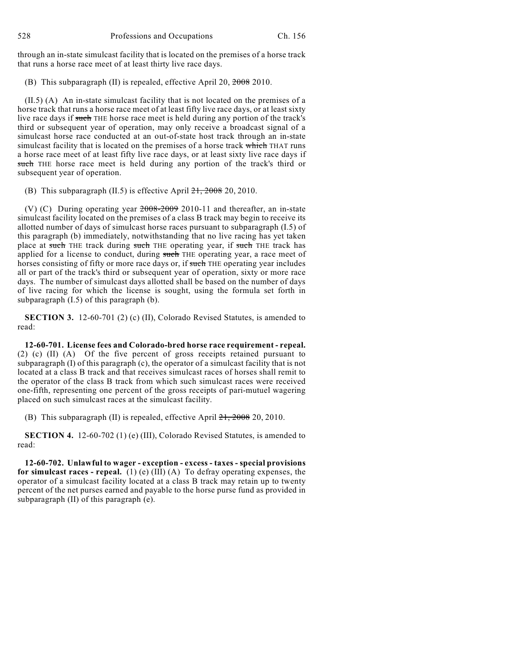through an in-state simulcast facility that is located on the premises of a horse track that runs a horse race meet of at least thirty live race days.

(B) This subparagraph (II) is repealed, effective April 20, 2008 2010.

(II.5) (A) An in-state simulcast facility that is not located on the premises of a horse track that runs a horse race meet of at least fifty live race days, or at least sixty live race days if such THE horse race meet is held during any portion of the track's third or subsequent year of operation, may only receive a broadcast signal of a simulcast horse race conducted at an out-of-state host track through an in-state simulcast facility that is located on the premises of a horse track which THAT runs a horse race meet of at least fifty live race days, or at least sixty live race days if such THE horse race meet is held during any portion of the track's third or subsequent year of operation.

(B) This subparagraph  $(II.5)$  is effective April  $21, 2008$  20, 2010.

(V) (C) During operating year 2008-2009 2010-11 and thereafter, an in-state simulcast facility located on the premises of a class B track may begin to receive its allotted number of days of simulcast horse races pursuant to subparagraph (I.5) of this paragraph (b) immediately, notwithstanding that no live racing has yet taken place at such THE track during such THE operating year, if such THE track has applied for a license to conduct, during such THE operating year, a race meet of horses consisting of fifty or more race days or, if such THE operating year includes all or part of the track's third or subsequent year of operation, sixty or more race days. The number of simulcast days allotted shall be based on the number of days of live racing for which the license is sought, using the formula set forth in subparagraph (I.5) of this paragraph (b).

**SECTION 3.** 12-60-701 (2) (c) (II), Colorado Revised Statutes, is amended to read:

**12-60-701. License fees and Colorado-bred horse race requirement - repeal.** (2) (c) (II) (A) Of the five percent of gross receipts retained pursuant to subparagraph  $(I)$  of this paragraph  $(c)$ , the operator of a simulcast facility that is not located at a class B track and that receives simulcast races of horses shall remit to the operator of the class B track from which such simulcast races were received one-fifth, representing one percent of the gross receipts of pari-mutuel wagering placed on such simulcast races at the simulcast facility.

(B) This subparagraph (II) is repealed, effective April  $21, 2008$  20, 2010.

**SECTION 4.** 12-60-702 (1) (e) (III), Colorado Revised Statutes, is amended to read:

**12-60-702. Unlawful to wager - exception - excess - taxes - special provisions** for simulcast races - repeal. (1) (e) (III) (A) To defray operating expenses, the operator of a simulcast facility located at a class B track may retain up to twenty percent of the net purses earned and payable to the horse purse fund as provided in subparagraph (II) of this paragraph (e).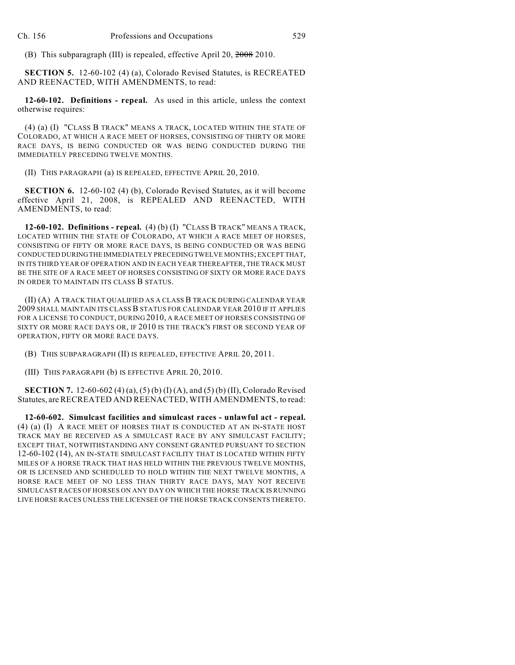(B) This subparagraph (III) is repealed, effective April 20, 2008 2010.

**SECTION 5.** 12-60-102 (4) (a), Colorado Revised Statutes, is RECREATED AND REENACTED, WITH AMENDMENTS, to read:

**12-60-102. Definitions - repeal.** As used in this article, unless the context otherwise requires:

(4) (a) (I) "CLASS B TRACK" MEANS A TRACK, LOCATED WITHIN THE STATE OF COLORADO, AT WHICH A RACE MEET OF HORSES, CONSISTING OF THIRTY OR MORE RACE DAYS, IS BEING CONDUCTED OR WAS BEING CONDUCTED DURING THE IMMEDIATELY PRECEDING TWELVE MONTHS.

(II) THIS PARAGRAPH (a) IS REPEALED, EFFECTIVE APRIL 20, 2010.

**SECTION 6.** 12-60-102 (4) (b), Colorado Revised Statutes, as it will become effective April 21, 2008, is REPEALED AND REENACTED, WITH AMENDMENTS, to read:

**12-60-102. Definitions - repeal.** (4) (b) (I) "CLASS B TRACK" MEANS A TRACK, LOCATED WITHIN THE STATE OF COLORADO, AT WHICH A RACE MEET OF HORSES, CONSISTING OF FIFTY OR MORE RACE DAYS, IS BEING CONDUCTED OR WAS BEING CONDUCTED DURING THE IMMEDIATELY PRECEDING TWELVE MONTHS; EXCEPT THAT, IN ITS THIRD YEAR OF OPERATION AND IN EACH YEAR THEREAFTER, THE TRACK MUST BE THE SITE OF A RACE MEET OF HORSES CONSISTING OF SIXTY OR MORE RACE DAYS IN ORDER TO MAINTAIN ITS CLASS B STATUS.

(II) (A) A TRACK THAT QUALIFIED AS A CLASS B TRACK DURING CALENDAR YEAR 2009 SHALL MAINTAIN ITS CLASS B STATUS FOR CALENDAR YEAR 2010 IF IT APPLIES FOR A LICENSE TO CONDUCT, DURING 2010, A RACE MEET OF HORSES CONSISTING OF SIXTY OR MORE RACE DAYS OR, IF 2010 IS THE TRACK'S FIRST OR SECOND YEAR OF OPERATION, FIFTY OR MORE RACE DAYS.

(B) THIS SUBPARAGRAPH (II) IS REPEALED, EFFECTIVE APRIL 20, 2011.

(III) THIS PARAGRAPH (b) IS EFFECTIVE APRIL 20, 2010.

**SECTION 7.** 12-60-602 (4) (a), (5) (b) (I) (A), and (5) (b) (II), Colorado Revised Statutes, are RECREATED AND REENACTED, WITH AMENDMENTS, to read:

**12-60-602. Simulcast facilities and simulcast races - unlawful act - repeal.** (4) (a) (I) A RACE MEET OF HORSES THAT IS CONDUCTED AT AN IN-STATE HOST TRACK MAY BE RECEIVED AS A SIMULCAST RACE BY ANY SIMULCAST FACILITY; EXCEPT THAT, NOTWITHSTANDING ANY CONSENT GRANTED PURSUANT TO SECTION 12-60-102 (14), AN IN-STATE SIMULCAST FACILITY THAT IS LOCATED WITHIN FIFTY MILES OF A HORSE TRACK THAT HAS HELD WITHIN THE PREVIOUS TWELVE MONTHS, OR IS LICENSED AND SCHEDULED TO HOLD WITHIN THE NEXT TWELVE MONTHS, A HORSE RACE MEET OF NO LESS THAN THIRTY RACE DAYS, MAY NOT RECEIVE SIMULCAST RACES OF HORSES ON ANY DAY ON WHICH THE HORSE TRACK IS RUNNING LIVE HORSE RACES UNLESS THE LICENSEE OF THE HORSE TRACK CONSENTS THERETO.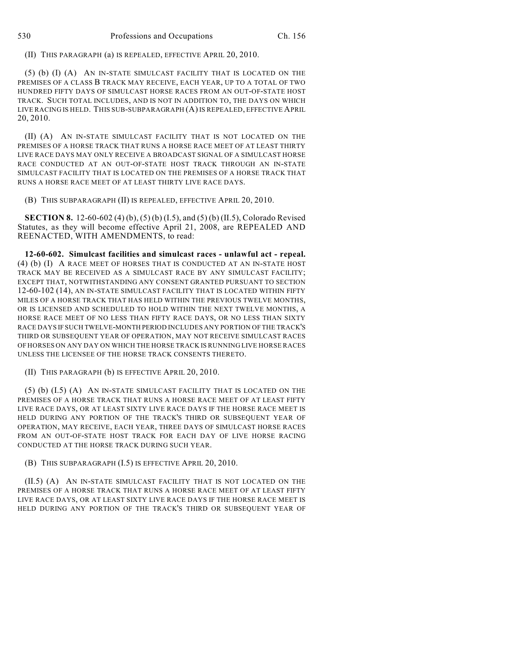(II) THIS PARAGRAPH (a) IS REPEALED, EFFECTIVE APRIL 20, 2010.

(5) (b) (I) (A) AN IN-STATE SIMULCAST FACILITY THAT IS LOCATED ON THE PREMISES OF A CLASS B TRACK MAY RECEIVE, EACH YEAR, UP TO A TOTAL OF TWO HUNDRED FIFTY DAYS OF SIMULCAST HORSE RACES FROM AN OUT-OF-STATE HOST TRACK. SUCH TOTAL INCLUDES, AND IS NOT IN ADDITION TO, THE DAYS ON WHICH LIVE RACING IS HELD. THIS SUB-SUBPARAGRAPH (A) IS REPEALED, EFFECTIVE APRIL 20, 2010.

(II) (A) AN IN-STATE SIMULCAST FACILITY THAT IS NOT LOCATED ON THE PREMISES OF A HORSE TRACK THAT RUNS A HORSE RACE MEET OF AT LEAST THIRTY LIVE RACE DAYS MAY ONLY RECEIVE A BROADCAST SIGNAL OF A SIMULCAST HORSE RACE CONDUCTED AT AN OUT-OF-STATE HOST TRACK THROUGH AN IN-STATE SIMULCAST FACILITY THAT IS LOCATED ON THE PREMISES OF A HORSE TRACK THAT RUNS A HORSE RACE MEET OF AT LEAST THIRTY LIVE RACE DAYS.

(B) THIS SUBPARAGRAPH (II) IS REPEALED, EFFECTIVE APRIL 20, 2010.

**SECTION 8.** 12-60-602 (4) (b), (5) (b) (I.5), and (5) (b) (II.5), Colorado Revised Statutes, as they will become effective April 21, 2008, are REPEALED AND REENACTED, WITH AMENDMENTS, to read:

**12-60-602. Simulcast facilities and simulcast races - unlawful act - repeal.** (4) (b) (I) A RACE MEET OF HORSES THAT IS CONDUCTED AT AN IN-STATE HOST TRACK MAY BE RECEIVED AS A SIMULCAST RACE BY ANY SIMULCAST FACILITY; EXCEPT THAT, NOTWITHSTANDING ANY CONSENT GRANTED PURSUANT TO SECTION 12-60-102 (14), AN IN-STATE SIMULCAST FACILITY THAT IS LOCATED WITHIN FIFTY MILES OF A HORSE TRACK THAT HAS HELD WITHIN THE PREVIOUS TWELVE MONTHS, OR IS LICENSED AND SCHEDULED TO HOLD WITHIN THE NEXT TWELVE MONTHS, A HORSE RACE MEET OF NO LESS THAN FIFTY RACE DAYS, OR NO LESS THAN SIXTY RACE DAYS IF SUCH TWELVE-MONTH PERIOD INCLUDES ANY PORTION OF THE TRACK'S THIRD OR SUBSEQUENT YEAR OF OPERATION, MAY NOT RECEIVE SIMULCAST RACES OF HORSES ON ANY DAY ON WHICH THE HORSE TRACK IS RUNNING LIVE HORSE RACES UNLESS THE LICENSEE OF THE HORSE TRACK CONSENTS THERETO.

(II) THIS PARAGRAPH (b) IS EFFECTIVE APRIL 20, 2010.

(5) (b) (I.5) (A) AN IN-STATE SIMULCAST FACILITY THAT IS LOCATED ON THE PREMISES OF A HORSE TRACK THAT RUNS A HORSE RACE MEET OF AT LEAST FIFTY LIVE RACE DAYS, OR AT LEAST SIXTY LIVE RACE DAYS IF THE HORSE RACE MEET IS HELD DURING ANY PORTION OF THE TRACK'S THIRD OR SUBSEQUENT YEAR OF OPERATION, MAY RECEIVE, EACH YEAR, THREE DAYS OF SIMULCAST HORSE RACES FROM AN OUT-OF-STATE HOST TRACK FOR EACH DAY OF LIVE HORSE RACING CONDUCTED AT THE HORSE TRACK DURING SUCH YEAR.

(B) THIS SUBPARAGRAPH (I.5) IS EFFECTIVE APRIL 20, 2010.

(II.5) (A) AN IN-STATE SIMULCAST FACILITY THAT IS NOT LOCATED ON THE PREMISES OF A HORSE TRACK THAT RUNS A HORSE RACE MEET OF AT LEAST FIFTY LIVE RACE DAYS, OR AT LEAST SIXTY LIVE RACE DAYS IF THE HORSE RACE MEET IS HELD DURING ANY PORTION OF THE TRACK'S THIRD OR SUBSEQUENT YEAR OF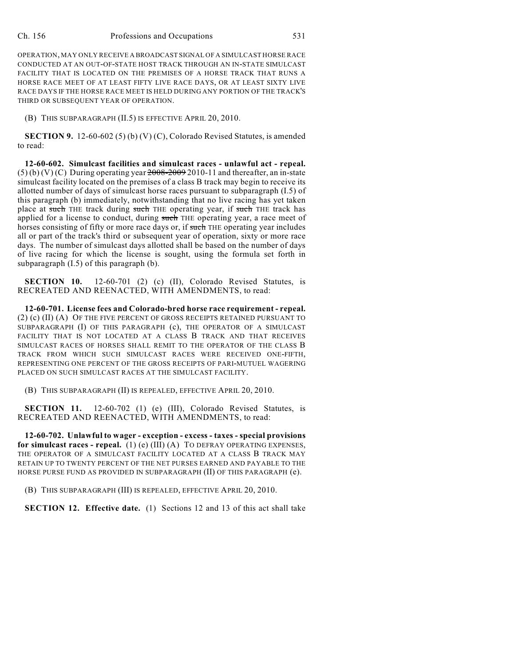OPERATION, MAY ONLY RECEIVE A BROADCAST SIGNAL OF A SIMULCAST HORSE RACE CONDUCTED AT AN OUT-OF-STATE HOST TRACK THROUGH AN IN-STATE SIMULCAST FACILITY THAT IS LOCATED ON THE PREMISES OF A HORSE TRACK THAT RUNS A HORSE RACE MEET OF AT LEAST FIFTY LIVE RACE DAYS, OR AT LEAST SIXTY LIVE RACE DAYS IF THE HORSE RACE MEET IS HELD DURING ANY PORTION OF THE TRACK'S THIRD OR SUBSEQUENT YEAR OF OPERATION.

(B) THIS SUBPARAGRAPH (II.5) IS EFFECTIVE APRIL 20, 2010.

**SECTION 9.** 12-60-602 (5) (b) (V) (C), Colorado Revised Statutes, is amended to read:

**12-60-602. Simulcast facilities and simulcast races - unlawful act - repeal.**  $(5)$  (b) (V) (C) During operating year  $2008-20092010-11$  and thereafter, an in-state simulcast facility located on the premises of a class B track may begin to receive its allotted number of days of simulcast horse races pursuant to subparagraph (I.5) of this paragraph (b) immediately, notwithstanding that no live racing has yet taken place at such THE track during such THE operating year, if such THE track has applied for a license to conduct, during such THE operating year, a race meet of horses consisting of fifty or more race days or, if such THE operating year includes all or part of the track's third or subsequent year of operation, sixty or more race days. The number of simulcast days allotted shall be based on the number of days of live racing for which the license is sought, using the formula set forth in subparagraph (I.5) of this paragraph (b).

**SECTION 10.** 12-60-701 (2) (c) (II), Colorado Revised Statutes, is RECREATED AND REENACTED, WITH AMENDMENTS, to read:

**12-60-701. License fees and Colorado-bred horse race requirement - repeal.** (2) (c) (II) (A) OF THE FIVE PERCENT OF GROSS RECEIPTS RETAINED PURSUANT TO SUBPARAGRAPH (I) OF THIS PARAGRAPH (c), THE OPERATOR OF A SIMULCAST FACILITY THAT IS NOT LOCATED AT A CLASS B TRACK AND THAT RECEIVES SIMULCAST RACES OF HORSES SHALL REMIT TO THE OPERATOR OF THE CLASS B TRACK FROM WHICH SUCH SIMULCAST RACES WERE RECEIVED ONE-FIFTH, REPRESENTING ONE PERCENT OF THE GROSS RECEIPTS OF PARI-MUTUEL WAGERING PLACED ON SUCH SIMULCAST RACES AT THE SIMULCAST FACILITY.

(B) THIS SUBPARAGRAPH (II) IS REPEALED, EFFECTIVE APRIL 20, 2010.

**SECTION 11.** 12-60-702 (1) (e) (III), Colorado Revised Statutes, is RECREATED AND REENACTED, WITH AMENDMENTS, to read:

**12-60-702. Unlawful to wager - exception - excess - taxes - special provisions for simulcast races - repeal.** (1) (e) (III) (A) TO DEFRAY OPERATING EXPENSES, THE OPERATOR OF A SIMULCAST FACILITY LOCATED AT A CLASS B TRACK MAY RETAIN UP TO TWENTY PERCENT OF THE NET PURSES EARNED AND PAYABLE TO THE HORSE PURSE FUND AS PROVIDED IN SUBPARAGRAPH (II) OF THIS PARAGRAPH (e).

(B) THIS SUBPARAGRAPH (III) IS REPEALED, EFFECTIVE APRIL 20, 2010.

**SECTION 12. Effective date.** (1) Sections 12 and 13 of this act shall take